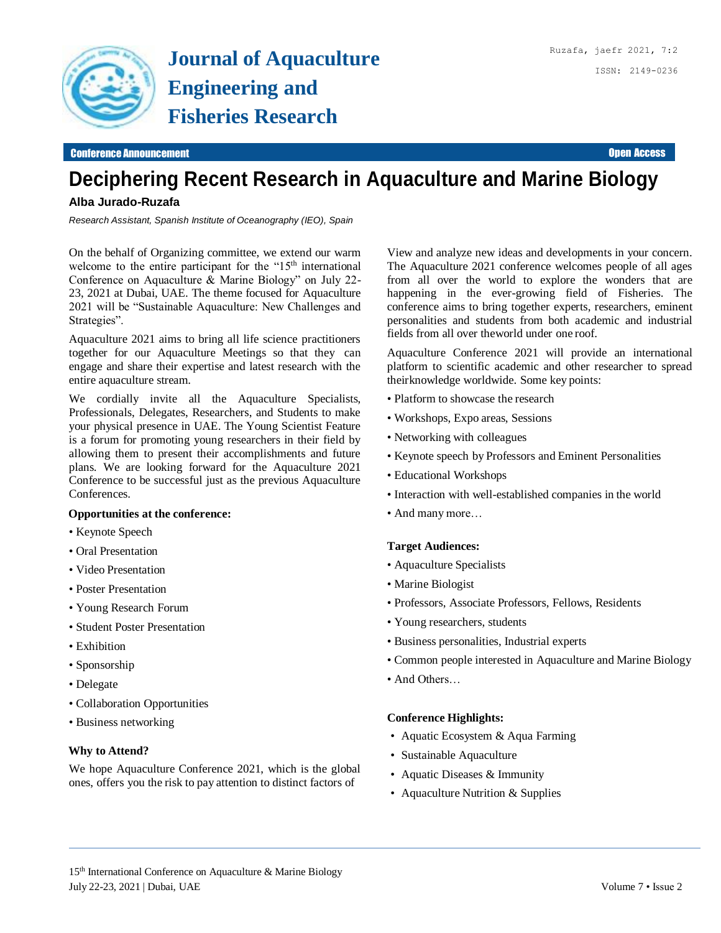

#### **Conference Announcement Conference Announcement** Open Access **Conference Announcement Open Access**

# **Deciphering Recent Research in Aquaculture and Marine Biology**

# **Alba Jurado-Ruzafa**

*Research Assistant, Spanish Institute of Oceanography (IEO), Spain*

On the behalf of Organizing committee, we extend our warm welcome to the entire participant for the "15<sup>th</sup> international Conference on Aquaculture & Marine Biology" on July 22- 23, 2021 at Dubai, UAE. The theme focused for Aquaculture 2021 will be "Sustainable Aquaculture: New Challenges and Strategies".

Aquaculture 2021 aims to bring all life science practitioners together for our Aquaculture Meetings so that they can engage and share their expertise and latest research with the entire aquaculture stream.

We cordially invite all the Aquaculture Specialists, Professionals, Delegates, Researchers, and Students to make your physical presence in UAE. The Young Scientist Feature is a forum for promoting young researchers in their field by allowing them to present their accomplishments and future plans. We are looking forward for the Aquaculture 2021 Conference to be successful just as the previous Aquaculture Conferences.

### **Opportunities at the conference:**

- Keynote Speech
- Oral Presentation
- Video Presentation
- Poster Presentation
- Young Research Forum
- Student Poster Presentation
- Exhibition
- Sponsorship
- Delegate
- Collaboration Opportunities
- Business networking

## **Why to Attend?**

We hope Aquaculture Conference 2021, which is the global ones, offers you the risk to pay attention to distinct factors of

View and analyze new ideas and developments in your concern. The Aquaculture 2021 conference welcomes people of all ages from all over the world to explore the wonders that are happening in the ever-growing field of Fisheries. The conference aims to bring together experts, researchers, eminent personalities and students from both academic and industrial fields from all over theworld under one roof.

Aquaculture Conference 2021 will provide an international platform to scientific academic and other researcher to spread theirknowledge worldwide. Some key points:

- Platform to showcase the research
- Workshops, Expo areas, Sessions
- Networking with colleagues
- Keynote speech by Professors and Eminent Personalities
- Educational Workshops
- Interaction with well-established companies in the world
- And many more…

#### **Target Audiences:**

- Aquaculture Specialists
- Marine Biologist
- Professors, Associate Professors, Fellows, Residents
- Young researchers, students
- Business personalities, Industrial experts
- Common people interested in Aquaculture and Marine Biology
- And Others…

## **Conference Highlights:**

- Aquatic Ecosystem & Aqua Farming
- Sustainable Aquaculture
- Aquatic Diseases & Immunity
- Aquaculture Nutrition & Supplies